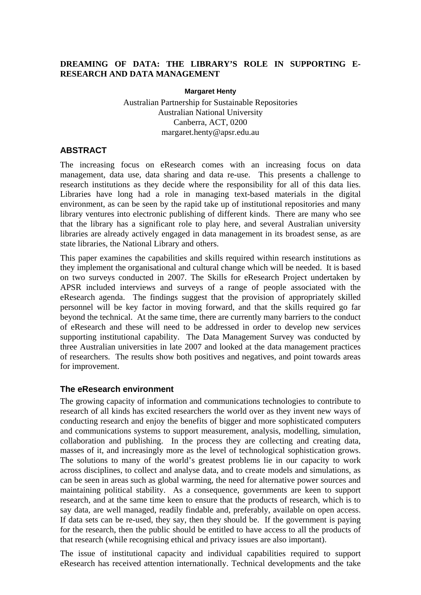### **DREAMING OF DATA: THE LIBRARY'S ROLE IN SUPPORTING E-RESEARCH AND DATA MANAGEMENT**

#### **Margaret Henty**

Australian Partnership for Sustainable Repositories Australian National University Canberra, ACT, 0200 margaret.henty@apsr.edu.au

#### **ABSTRACT**

The increasing focus on eResearch comes with an increasing focus on data management, data use, data sharing and data re-use. This presents a challenge to research institutions as they decide where the responsibility for all of this data lies. Libraries have long had a role in managing text-based materials in the digital environment, as can be seen by the rapid take up of institutional repositories and many library ventures into electronic publishing of different kinds. There are many who see that the library has a significant role to play here, and several Australian university libraries are already actively engaged in data management in its broadest sense, as are state libraries, the National Library and others.

This paper examines the capabilities and skills required within research institutions as they implement the organisational and cultural change which will be needed. It is based on two surveys conducted in 2007. The Skills for eResearch Project undertaken by APSR included interviews and surveys of a range of people associated with the eResearch agenda. The findings suggest that the provision of appropriately skilled personnel will be key factor in moving forward, and that the skills required go far beyond the technical. At the same time, there are currently many barriers to the conduct of eResearch and these will need to be addressed in order to develop new services supporting institutional capability. The Data Management Survey was conducted by three Australian universities in late 2007 and looked at the data management practices of researchers. The results show both positives and negatives, and point towards areas for improvement.

#### **The eResearch environment**

The growing capacity of information and communications technologies to contribute to research of all kinds has excited researchers the world over as they invent new ways of conducting research and enjoy the benefits of bigger and more sophisticated computers and communications systems to support measurement, analysis, modelling, simulation, collaboration and publishing. In the process they are collecting and creating data, masses of it, and increasingly more as the level of technological sophistication grows. The solutions to many of the world's greatest problems lie in our capacity to work across disciplines, to collect and analyse data, and to create models and simulations, as can be seen in areas such as global warming, the need for alternative power sources and maintaining political stability. As a consequence, governments are keen to support research, and at the same time keen to ensure that the products of research, which is to say data, are well managed, readily findable and, preferably, available on open access. If data sets can be re-used, they say, then they should be. If the government is paying for the research, then the public should be entitled to have access to all the products of that research (while recognising ethical and privacy issues are also important).

The issue of institutional capacity and individual capabilities required to support eResearch has received attention internationally. Technical developments and the take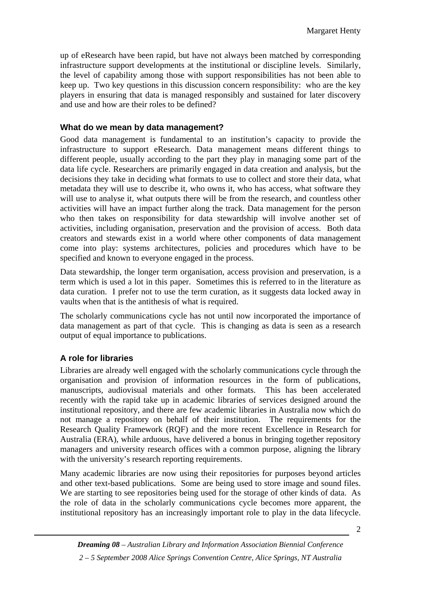up of eResearch have been rapid, but have not always been matched by corresponding infrastructure support developments at the institutional or discipline levels. Similarly, the level of capability among those with support responsibilities has not been able to keep up. Two key questions in this discussion concern responsibility: who are the key players in ensuring that data is managed responsibly and sustained for later discovery and use and how are their roles to be defined?

### **What do we mean by data management?**

Good data management is fundamental to an institution's capacity to provide the infrastructure to support eResearch. Data management means different things to different people, usually according to the part they play in managing some part of the data life cycle. Researchers are primarily engaged in data creation and analysis, but the decisions they take in deciding what formats to use to collect and store their data, what metadata they will use to describe it, who owns it, who has access, what software they will use to analyse it, what outputs there will be from the research, and countless other activities will have an impact further along the track. Data management for the person who then takes on responsibility for data stewardship will involve another set of activities, including organisation, preservation and the provision of access. Both data creators and stewards exist in a world where other components of data management come into play: systems architectures, policies and procedures which have to be specified and known to everyone engaged in the process.

Data stewardship, the longer term organisation, access provision and preservation, is a term which is used a lot in this paper. Sometimes this is referred to in the literature as data curation. I prefer not to use the term curation, as it suggests data locked away in vaults when that is the antithesis of what is required.

The scholarly communications cycle has not until now incorporated the importance of data management as part of that cycle. This is changing as data is seen as a research output of equal importance to publications.

## **A role for libraries**

Libraries are already well engaged with the scholarly communications cycle through the organisation and provision of information resources in the form of publications, manuscripts, audiovisual materials and other formats. This has been accelerated recently with the rapid take up in academic libraries of services designed around the institutional repository, and there are few academic libraries in Australia now which do not manage a repository on behalf of their institution. The requirements for the Research Quality Framework (RQF) and the more recent Excellence in Research for Australia (ERA), while arduous, have delivered a bonus in bringing together repository managers and university research offices with a common purpose, aligning the library with the university's research reporting requirements.

Many academic libraries are now using their repositories for purposes beyond articles and other text-based publications. Some are being used to store image and sound files. We are starting to see repositories being used for the storage of other kinds of data. As the role of data in the scholarly communications cycle becomes more apparent, the institutional repository has an increasingly important role to play in the data lifecycle.

2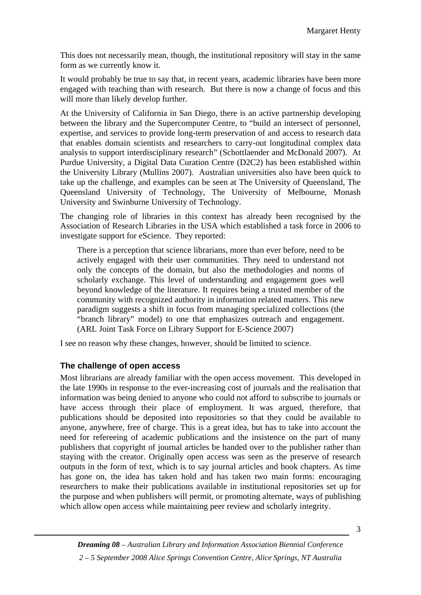This does not necessarily mean, though, the institutional repository will stay in the same form as we currently know it.

It would probably be true to say that, in recent years, academic libraries have been more engaged with teaching than with research. But there is now a change of focus and this will more than likely develop further.

At the University of California in San Diego, there is an active partnership developing between the library and the Supercomputer Centre, to "build an intersect of personnel, expertise, and services to provide long-term preservation of and access to research data that enables domain scientists and researchers to carry-out longitudinal complex data analysis to support interdisciplinary research" (Schottlaender and McDonald 2007). At Purdue University, a Digital Data Curation Centre (D2C2) has been established within the University Library (Mullins 2007). Australian universities also have been quick to take up the challenge, and examples can be seen at The University of Queensland, The Queensland University of Technology, The University of Melbourne, Monash University and Swinburne University of Technology.

The changing role of libraries in this context has already been recognised by the Association of Research Libraries in the USA which established a task force in 2006 to investigate support for eScience. They reported:

There is a perception that science librarians, more than ever before, need to be actively engaged with their user communities. They need to understand not only the concepts of the domain, but also the methodologies and norms of scholarly exchange. This level of understanding and engagement goes well beyond knowledge of the literature. It requires being a trusted member of the community with recognized authority in information related matters. This new paradigm suggests a shift in focus from managing specialized collections (the "branch library" model) to one that emphasizes outreach and engagement. (ARL Joint Task Force on Library Support for E-Science 2007)

I see no reason why these changes, however, should be limited to science.

### **The challenge of open access**

Most librarians are already familiar with the open access movement. This developed in the late 1990s in response to the ever-increasing cost of journals and the realisation that information was being denied to anyone who could not afford to subscribe to journals or have access through their place of employment. It was argued, therefore, that publications should be deposited into repositories so that they could be available to anyone, anywhere, free of charge. This is a great idea, but has to take into account the need for refereeing of academic publications and the insistence on the part of many publishers that copyright of journal articles be handed over to the publisher rather than staying with the creator. Originally open access was seen as the preserve of research outputs in the form of text, which is to say journal articles and book chapters. As time has gone on, the idea has taken hold and has taken two main forms: encouraging researchers to make their publications available in institutional repositories set up for the purpose and when publishers will permit, or promoting alternate, ways of publishing which allow open access while maintaining peer review and scholarly integrity.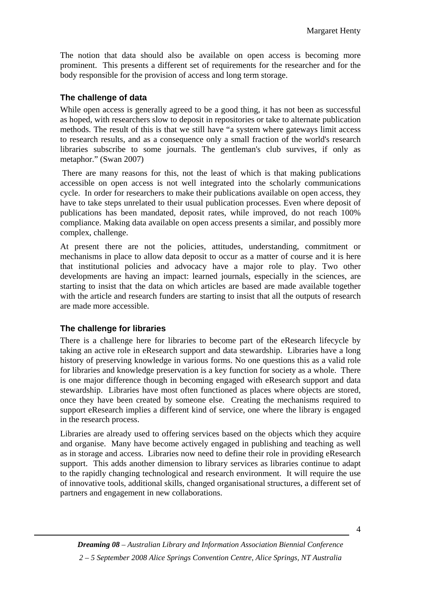The notion that data should also be available on open access is becoming more prominent. This presents a different set of requirements for the researcher and for the body responsible for the provision of access and long term storage.

## **The challenge of data**

While open access is generally agreed to be a good thing, it has not been as successful as hoped, with researchers slow to deposit in repositories or take to alternate publication methods. The result of this is that we still have "a system where gateways limit access to research results, and as a consequence only a small fraction of the world's research libraries subscribe to some journals. The gentleman's club survives, if only as metaphor." (Swan 2007)

 There are many reasons for this, not the least of which is that making publications accessible on open access is not well integrated into the scholarly communications cycle. In order for researchers to make their publications available on open access, they have to take steps unrelated to their usual publication processes. Even where deposit of publications has been mandated, deposit rates, while improved, do not reach 100% compliance. Making data available on open access presents a similar, and possibly more complex, challenge.

At present there are not the policies, attitudes, understanding, commitment or mechanisms in place to allow data deposit to occur as a matter of course and it is here that institutional policies and advocacy have a major role to play. Two other developments are having an impact: learned journals, especially in the sciences, are starting to insist that the data on which articles are based are made available together with the article and research funders are starting to insist that all the outputs of research are made more accessible.

### **The challenge for libraries**

There is a challenge here for libraries to become part of the eResearch lifecycle by taking an active role in eResearch support and data stewardship. Libraries have a long history of preserving knowledge in various forms. No one questions this as a valid role for libraries and knowledge preservation is a key function for society as a whole. There is one major difference though in becoming engaged with eResearch support and data stewardship. Libraries have most often functioned as places where objects are stored, once they have been created by someone else. Creating the mechanisms required to support eResearch implies a different kind of service, one where the library is engaged in the research process.

Libraries are already used to offering services based on the objects which they acquire and organise. Many have become actively engaged in publishing and teaching as well as in storage and access. Libraries now need to define their role in providing eResearch support. This adds another dimension to library services as libraries continue to adapt to the rapidly changing technological and research environment. It will require the use of innovative tools, additional skills, changed organisational structures, a different set of partners and engagement in new collaborations.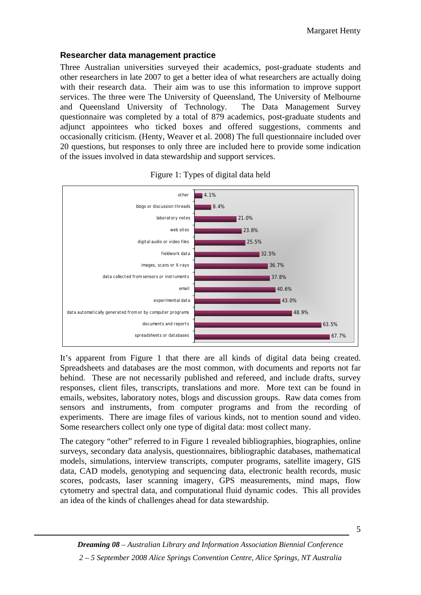### **Researcher data management practice**

Three Australian universities surveyed their academics, post-graduate students and other researchers in late 2007 to get a better idea of what researchers are actually doing with their research data. Their aim was to use this information to improve support services. The three were The University of Queensland, The University of Melbourne and Queensland University of Technology. The Data Management Survey questionnaire was completed by a total of 879 academics, post-graduate students and adjunct appointees who ticked boxes and offered suggestions, comments and occasionally criticism. (Henty, Weaver et al. 2008) The full questionnaire included over 20 questions, but responses to only three are included here to provide some indication of the issues involved in data stewardship and support services.





It's apparent from Figure 1 that there are all kinds of digital data being created. Spreadsheets and databases are the most common, with documents and reports not far behind. These are not necessarily published and refereed, and include drafts, survey responses, client files, transcripts, translations and more. More text can be found in emails, websites, laboratory notes, blogs and discussion groups. Raw data comes from sensors and instruments, from computer programs and from the recording of experiments. There are image files of various kinds, not to mention sound and video. Some researchers collect only one type of digital data: most collect many.

The category "other" referred to in Figure 1 revealed bibliographies, biographies, online surveys, secondary data analysis, questionnaires, bibliographic databases, mathematical models, simulations, interview transcripts, computer programs, satellite imagery, GIS data, CAD models, genotyping and sequencing data, electronic health records, music scores, podcasts, laser scanning imagery, GPS measurements, mind maps, flow cytometry and spectral data, and computational fluid dynamic codes. This all provides an idea of the kinds of challenges ahead for data stewardship.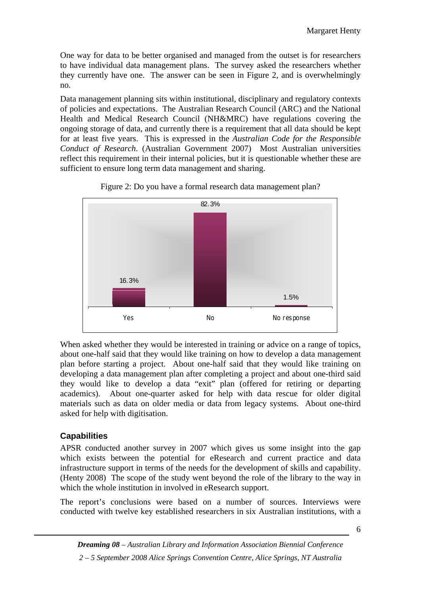One way for data to be better organised and managed from the outset is for researchers to have individual data management plans. The survey asked the researchers whether they currently have one. The answer can be seen in Figure 2, and is overwhelmingly no.

Data management planning sits within institutional, disciplinary and regulatory contexts of policies and expectations. The Australian Research Council (ARC) and the National Health and Medical Research Council (NH&MRC) have regulations covering the ongoing storage of data, and currently there is a requirement that all data should be kept for at least five years. This is expressed in the *Australian Code for the Responsible Conduct of Research*. (Australian Government 2007) Most Australian universities reflect this requirement in their internal policies, but it is questionable whether these are sufficient to ensure long term data management and sharing.



Figure 2: Do you have a formal research data management plan?

When asked whether they would be interested in training or advice on a range of topics, about one-half said that they would like training on how to develop a data management plan before starting a project. About one-half said that they would like training on developing a data management plan after completing a project and about one-third said they would like to develop a data "exit" plan (offered for retiring or departing academics). About one-quarter asked for help with data rescue for older digital materials such as data on older media or data from legacy systems. About one-third asked for help with digitisation.

# **Capabilities**

APSR conducted another survey in 2007 which gives us some insight into the gap which exists between the potential for eResearch and current practice and data infrastructure support in terms of the needs for the development of skills and capability. (Henty 2008) The scope of the study went beyond the role of the library to the way in which the whole institution in involved in eResearch support.

The report's conclusions were based on a number of sources. Interviews were conducted with twelve key established researchers in six Australian institutions, with a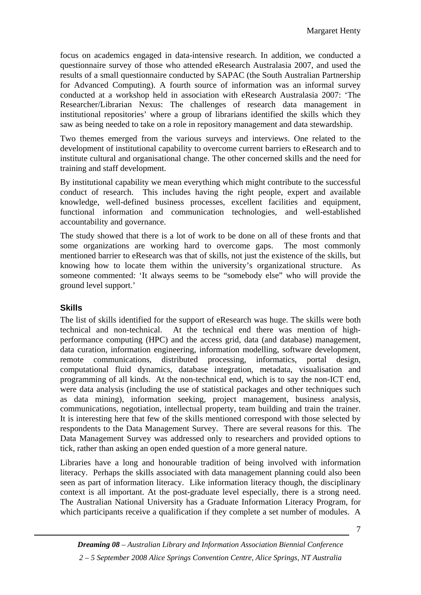focus on academics engaged in data-intensive research. In addition, we conducted a questionnaire survey of those who attended eResearch Australasia 2007, and used the results of a small questionnaire conducted by SAPAC (the South Australian Partnership for Advanced Computing). A fourth source of information was an informal survey conducted at a workshop held in association with eResearch Australasia 2007: 'The Researcher/Librarian Nexus: The challenges of research data management in institutional repositories' where a group of librarians identified the skills which they saw as being needed to take on a role in repository management and data stewardship.

Two themes emerged from the various surveys and interviews. One related to the development of institutional capability to overcome current barriers to eResearch and to institute cultural and organisational change. The other concerned skills and the need for training and staff development.

By institutional capability we mean everything which might contribute to the successful conduct of research. This includes having the right people, expert and available knowledge, well-defined business processes, excellent facilities and equipment, functional information and communication technologies, and well-established accountability and governance.

The study showed that there is a lot of work to be done on all of these fronts and that some organizations are working hard to overcome gaps. The most commonly mentioned barrier to eResearch was that of skills, not just the existence of the skills, but knowing how to locate them within the university's organizational structure. As someone commented: 'It always seems to be "somebody else" who will provide the ground level support.'

## **Skills**

The list of skills identified for the support of eResearch was huge. The skills were both technical and non-technical. At the technical end there was mention of highperformance computing (HPC) and the access grid, data (and database) management, data curation, information engineering, information modelling, software development, remote communications, distributed processing, informatics, portal design, computational fluid dynamics, database integration, metadata, visualisation and programming of all kinds. At the non-technical end, which is to say the non-ICT end, were data analysis (including the use of statistical packages and other techniques such as data mining), information seeking, project management, business analysis, communications, negotiation, intellectual property, team building and train the trainer. It is interesting here that few of the skills mentioned correspond with those selected by respondents to the Data Management Survey. There are several reasons for this. The Data Management Survey was addressed only to researchers and provided options to tick, rather than asking an open ended question of a more general nature.

Libraries have a long and honourable tradition of being involved with information literacy. Perhaps the skills associated with data management planning could also been seen as part of information literacy. Like information literacy though, the disciplinary context is all important. At the post-graduate level especially, there is a strong need. The Australian National University has a Graduate Information Literacy Program, for which participants receive a qualification if they complete a set number of modules. A

7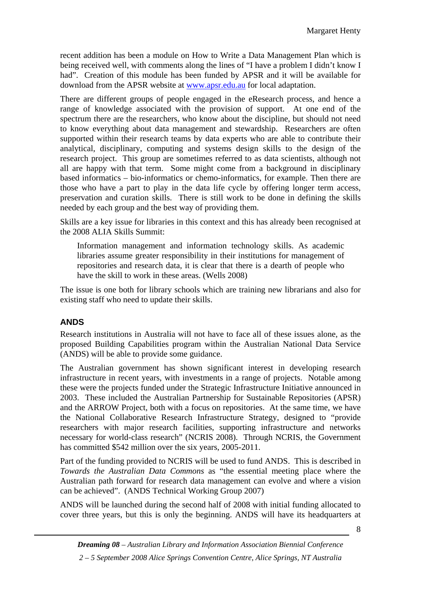recent addition has been a module on How to Write a Data Management Plan which is being received well, with comments along the lines of "I have a problem I didn't know I had". Creation of this module has been funded by APSR and it will be available for download from the APSR website at [www.apsr.edu.au](http://www.apsr.edu.au/) for local adaptation.

There are different groups of people engaged in the eResearch process, and hence a range of knowledge associated with the provision of support. At one end of the spectrum there are the researchers, who know about the discipline, but should not need to know everything about data management and stewardship. Researchers are often supported within their research teams by data experts who are able to contribute their analytical, disciplinary, computing and systems design skills to the design of the research project. This group are sometimes referred to as data scientists, although not all are happy with that term. Some might come from a background in disciplinary based informatics – bio-informatics or chemo-informatics, for example. Then there are those who have a part to play in the data life cycle by offering longer term access, preservation and curation skills. There is still work to be done in defining the skills needed by each group and the best way of providing them.

Skills are a key issue for libraries in this context and this has already been recognised at the 2008 ALIA Skills Summit:

Information management and information technology skills. As academic libraries assume greater responsibility in their institutions for management of repositories and research data, it is clear that there is a dearth of people who have the skill to work in these areas. (Wells 2008)

The issue is one both for library schools which are training new librarians and also for existing staff who need to update their skills.

## **ANDS**

Research institutions in Australia will not have to face all of these issues alone, as the proposed Building Capabilities program within the Australian National Data Service (ANDS) will be able to provide some guidance.

The Australian government has shown significant interest in developing research infrastructure in recent years, with investments in a range of projects. Notable among these were the projects funded under the Strategic Infrastructure Initiative announced in 2003. These included the Australian Partnership for Sustainable Repositories (APSR) and the ARROW Project, both with a focus on repositories. At the same time, we have the National Collaborative Research Infrastructure Strategy, designed to "provide researchers with major research facilities, supporting infrastructure and networks necessary for world-class research" (NCRIS 2008). Through NCRIS, the Government has committed \$542 million over the six years, 2005-2011.

Part of the funding provided to NCRIS will be used to fund ANDS. This is described in *Towards the Australian Data Commons* as "the essential meeting place where the Australian path forward for research data management can evolve and where a vision can be achieved". (ANDS Technical Working Group 2007)

ANDS will be launched during the second half of 2008 with initial funding allocated to cover three years, but this is only the beginning. ANDS will have its headquarters at

8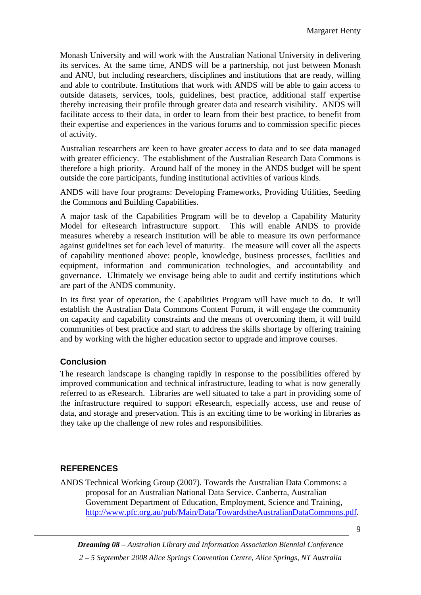Monash University and will work with the Australian National University in delivering its services. At the same time, ANDS will be a partnership, not just between Monash and ANU, but including researchers, disciplines and institutions that are ready, willing and able to contribute. Institutions that work with ANDS will be able to gain access to outside datasets, services, tools, guidelines, best practice, additional staff expertise thereby increasing their profile through greater data and research visibility. ANDS will facilitate access to their data, in order to learn from their best practice, to benefit from their expertise and experiences in the various forums and to commission specific pieces of activity.

Australian researchers are keen to have greater access to data and to see data managed with greater efficiency. The establishment of the Australian Research Data Commons is therefore a high priority. Around half of the money in the ANDS budget will be spent outside the core participants, funding institutional activities of various kinds.

ANDS will have four programs: Developing Frameworks, Providing Utilities, Seeding the Commons and Building Capabilities.

A major task of the Capabilities Program will be to develop a Capability Maturity Model for eResearch infrastructure support. This will enable ANDS to provide measures whereby a research institution will be able to measure its own performance against guidelines set for each level of maturity. The measure will cover all the aspects of capability mentioned above: people, knowledge, business processes, facilities and equipment, information and communication technologies, and accountability and governance. Ultimately we envisage being able to audit and certify institutions which are part of the ANDS community.

In its first year of operation, the Capabilities Program will have much to do. It will establish the Australian Data Commons Content Forum, it will engage the community on capacity and capability constraints and the means of overcoming them, it will build communities of best practice and start to address the skills shortage by offering training and by working with the higher education sector to upgrade and improve courses.

## **Conclusion**

The research landscape is changing rapidly in response to the possibilities offered by improved communication and technical infrastructure, leading to what is now generally referred to as eResearch. Libraries are well situated to take a part in providing some of the infrastructure required to support eResearch, especially access, use and reuse of data, and storage and preservation. This is an exciting time to be working in libraries as they take up the challenge of new roles and responsibilities.

# **REFERENCES**

ANDS Technical Working Group (2007). Towards the Australian Data Commons: a proposal for an Australian National Data Service. Canberra, Australian Government Department of Education, Employment, Science and Training, [http://www.pfc.org.au/pub/Main/Data/TowardstheAustralianDataCommons.pdf.](http://www.pfc.org.au/pub/Main/Data/TowardstheAustralianDataCommons.pdf)